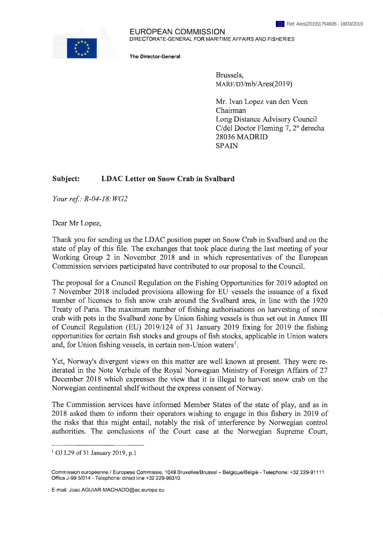

## EUROPEAN COMMISSION DIRECTORATE-GENERAL FOR MARITIME AFFAIRS AND FISHERIES

The Director-General

Brussels, MARE/D3/mb/Ares(2019)

Mr. Ivan Lopez van den Veen Chairman Long Distance Advisory Council C/del Doctor Fleming 7, 2° derecha 28036 MADRID SPAIN

## **Subject: LDAC Letter on Snow Crab in Svalbard**

*Your ref: R-04-18.WG2*

Dear Mr Lopez,

Thank you for sending us the LDAC position paper on Snow Crab in Svalbard and on the state of play of this file. The exchanges that took place during the last meeting of your Working Group 2 in November 2018 and in which representatives of the European Commission services participated have contributed to our proposal to the Council.

The proposal for a Council Regulation on the Fishing Opportunities for 2019 adopted on 7 November 2018 included provisions allowing for EU vessels the issuance of a fixed number of licenses to fish snow crab around the Svalbard area, in line with the 1920 Treaty of Paris, The maximum number of fishing authorisations on harvesting of snow crab with pots in the Svalbard zone by Union fishing vessels is thus set out in Annex III of Council Regulation (EU) 2019/124 of 31 January 2019 fixing for 2019 the fishing opportunities for certain fish stocks and groups of fish stocks, applicable in Union waters and, for Union fishing vessels, in certain non-Union waters<sup>1</sup>.

Yet, Norway's divergent views on this matter are well known at present. They were reiterated in the Note Verbale of the Royal Norwegian Ministry of Foreign Affairs of 27 December 2018 which expresses the view that it is illegal to harvest snow crab on the Norwegian continental shelf without the express consent of Norway.

The Commission services have informed Member States of the state of play, and as in 2018 asked them to inform their operators wishing to engage in this fishery in 2019 of the risks that this might entail, notably the risk of interference by Norwegian control authorities. The conclusions of the Court case at the Norwegian Supreme Court,

<sup>&</sup>lt;sup>1</sup> OJ L29 of 31 January 2019, p.1

Commission européenne / Europese Commissie, <sup>1049</sup> Bruxelles/Brussel - Belgique/België - Telephone: +32 229-91111 Office J-99 5/014 - Telephone: direct line +32 229-96310